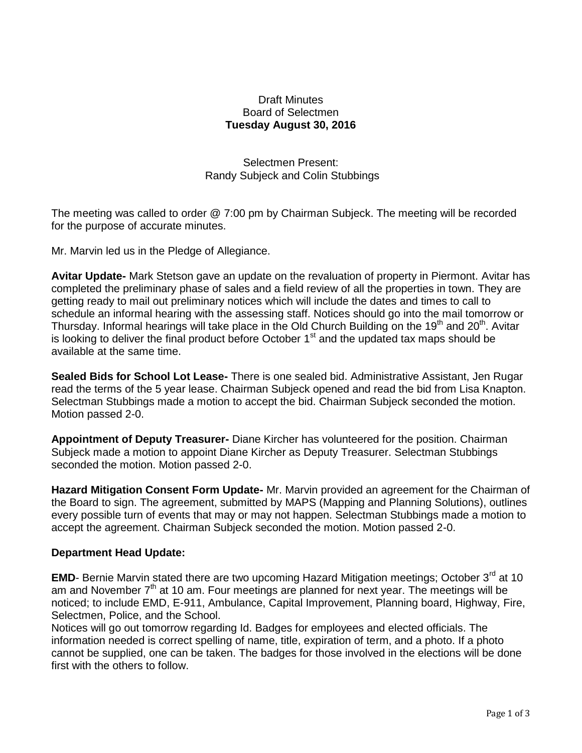## Draft Minutes Board of Selectmen **Tuesday August 30, 2016**

Selectmen Present: Randy Subjeck and Colin Stubbings

The meeting was called to order @ 7:00 pm by Chairman Subjeck. The meeting will be recorded for the purpose of accurate minutes.

Mr. Marvin led us in the Pledge of Allegiance.

**Avitar Update-** Mark Stetson gave an update on the revaluation of property in Piermont. Avitar has completed the preliminary phase of sales and a field review of all the properties in town. They are getting ready to mail out preliminary notices which will include the dates and times to call to schedule an informal hearing with the assessing staff. Notices should go into the mail tomorrow or Thursday. Informal hearings will take place in the Old Church Building on the 19<sup>th</sup> and 20<sup>th</sup>. Avitar is looking to deliver the final product before October  $1<sup>st</sup>$  and the updated tax maps should be available at the same time.

**Sealed Bids for School Lot Lease-** There is one sealed bid. Administrative Assistant, Jen Rugar read the terms of the 5 year lease. Chairman Subjeck opened and read the bid from Lisa Knapton. Selectman Stubbings made a motion to accept the bid. Chairman Subjeck seconded the motion. Motion passed 2-0.

**Appointment of Deputy Treasurer-** Diane Kircher has volunteered for the position. Chairman Subjeck made a motion to appoint Diane Kircher as Deputy Treasurer. Selectman Stubbings seconded the motion. Motion passed 2-0.

**Hazard Mitigation Consent Form Update-** Mr. Marvin provided an agreement for the Chairman of the Board to sign. The agreement, submitted by MAPS (Mapping and Planning Solutions), outlines every possible turn of events that may or may not happen. Selectman Stubbings made a motion to accept the agreement. Chairman Subjeck seconded the motion. Motion passed 2-0.

## **Department Head Update:**

**EMD**- Bernie Marvin stated there are two upcoming Hazard Mitigation meetings; October 3<sup>rd</sup> at 10 am and November  $7<sup>th</sup>$  at 10 am. Four meetings are planned for next year. The meetings will be noticed; to include EMD, E-911, Ambulance, Capital Improvement, Planning board, Highway, Fire, Selectmen, Police, and the School.

Notices will go out tomorrow regarding Id. Badges for employees and elected officials. The information needed is correct spelling of name, title, expiration of term, and a photo. If a photo cannot be supplied, one can be taken. The badges for those involved in the elections will be done first with the others to follow.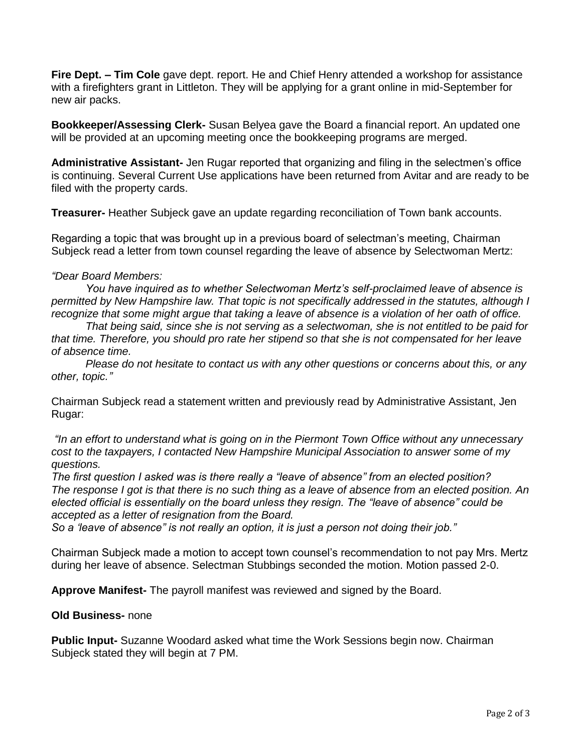**Fire Dept. – Tim Cole** gave dept. report. He and Chief Henry attended a workshop for assistance with a firefighters grant in Littleton. They will be applying for a grant online in mid-September for new air packs.

**Bookkeeper/Assessing Clerk-** Susan Belyea gave the Board a financial report. An updated one will be provided at an upcoming meeting once the bookkeeping programs are merged.

**Administrative Assistant-** Jen Rugar reported that organizing and filing in the selectmen's office is continuing. Several Current Use applications have been returned from Avitar and are ready to be filed with the property cards.

**Treasurer-** Heather Subjeck gave an update regarding reconciliation of Town bank accounts.

Regarding a topic that was brought up in a previous board of selectman's meeting, Chairman Subjeck read a letter from town counsel regarding the leave of absence by Selectwoman Mertz:

## *"Dear Board Members:*

*You have inquired as to whether Selectwoman Mertz's self-proclaimed leave of absence is permitted by New Hampshire law. That topic is not specifically addressed in the statutes, although I recognize that some might argue that taking a leave of absence is a violation of her oath of office.*

*That being said, since she is not serving as a selectwoman, she is not entitled to be paid for that time. Therefore, you should pro rate her stipend so that she is not compensated for her leave of absence time.*

*Please do not hesitate to contact us with any other questions or concerns about this, or any other, topic."*

Chairman Subjeck read a statement written and previously read by Administrative Assistant, Jen Rugar:

*"In an effort to understand what is going on in the Piermont Town Office without any unnecessary cost to the taxpayers, I contacted New Hampshire Municipal Association to answer some of my questions.*

*The first question I asked was is there really a "leave of absence" from an elected position? The response I got is that there is no such thing as a leave of absence from an elected position. An elected official is essentially on the board unless they resign. The "leave of absence" could be accepted as a letter of resignation from the Board.*

*So a 'leave of absence" is not really an option, it is just a person not doing their job."*

Chairman Subjeck made a motion to accept town counsel's recommendation to not pay Mrs. Mertz during her leave of absence. Selectman Stubbings seconded the motion. Motion passed 2-0.

**Approve Manifest-** The payroll manifest was reviewed and signed by the Board.

## **Old Business-** none

**Public Input-** Suzanne Woodard asked what time the Work Sessions begin now. Chairman Subjeck stated they will begin at 7 PM.